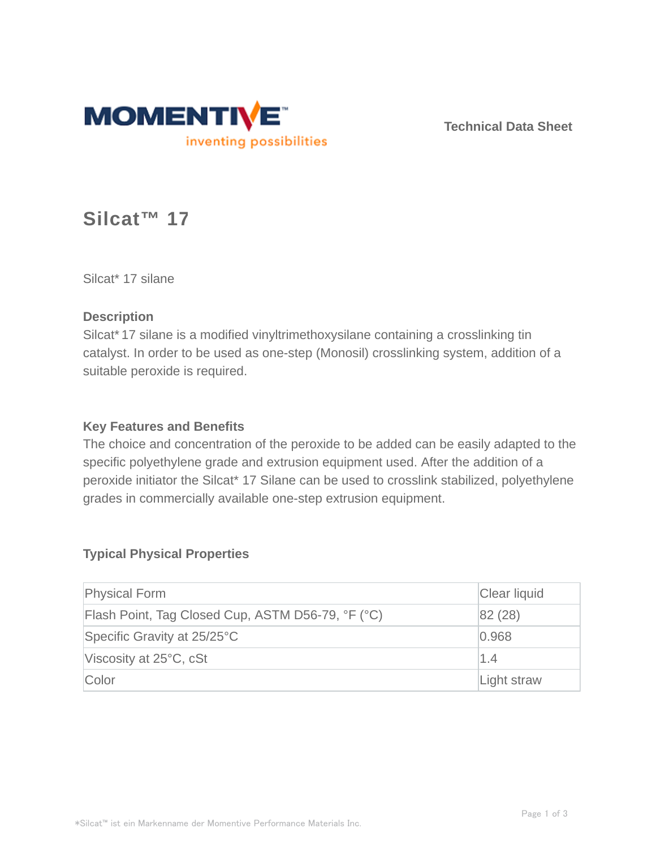

**Technical Data Sheet**

# **Silcat™ 17**

Silcat\* 17 silane

#### **Description**

Silcat\* 17 silane is a modified vinyltrimethoxysilane containing a crosslinking tin catalyst. In order to be used as one-step (Monosil) crosslinking system, addition of a suitable peroxide is required.

#### **Key Features and Benefits**

The choice and concentration of the peroxide to be added can be easily adapted to the specific polyethylene grade and extrusion equipment used. After the addition of a peroxide initiator the Silcat\* 17 Silane can be used to crosslink stabilized, polyethylene grades in commercially available one-step extrusion equipment.

#### **Typical Physical Properties**

| <b>Physical Form</b>                              | Clear liquid |
|---------------------------------------------------|--------------|
| Flash Point, Tag Closed Cup, ASTM D56-79, °F (°C) | 82(28)       |
| Specific Gravity at 25/25°C                       | 0.968        |
| Viscosity at 25°C, cSt                            | $\vert$ 1.4  |
| Color                                             | Light straw  |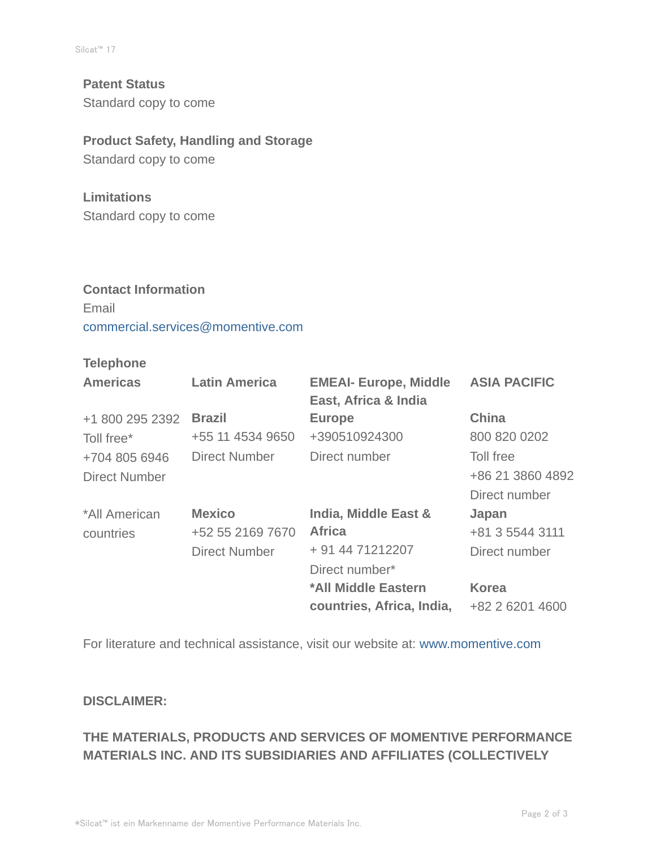**Patent Status** Standard copy to come

#### **Product Safety, Handling and Storage**

Standard copy to come

#### **Limitations**

Standard copy to come

# **Contact Information** Email commercial.services@momentive.com

### **Telephone**

| <b>Americas</b> | <b>Latin America</b> | <b>EMEAI- Europe, Middle</b><br>East, Africa & India | <b>ASIA PACIFIC</b> |
|-----------------|----------------------|------------------------------------------------------|---------------------|
| +1 800 295 2392 | <b>Brazil</b>        | <b>Europe</b>                                        | <b>China</b>        |
| Toll free*      | +55 11 4534 9650     | +390510924300                                        | 800 820 0202        |
| +704 805 6946   | <b>Direct Number</b> | Direct number                                        | Toll free           |
| Direct Number   |                      |                                                      | +86 21 3860 4892    |
|                 |                      |                                                      | Direct number       |
| *All American   | <b>Mexico</b>        | India, Middle East &                                 | Japan               |
| countries       | +52 55 2169 7670     | <b>Africa</b>                                        | +81 3 5544 3111     |
|                 | <b>Direct Number</b> | + 91 44 71212207                                     | Direct number       |
|                 |                      | Direct number*                                       |                     |
|                 |                      | *All Middle Eastern                                  | <b>Korea</b>        |
|                 |                      | countries, Africa, India,                            | +82 2 6201 4600     |

For literature and technical assistance, visit our website at: www.momentive.com

#### **DISCLAIMER:**

## **THE MATERIALS, PRODUCTS AND SERVICES OF MOMENTIVE PERFORMANCE MATERIALS INC. AND ITS SUBSIDIARIES AND AFFILIATES (COLLECTIVELY**